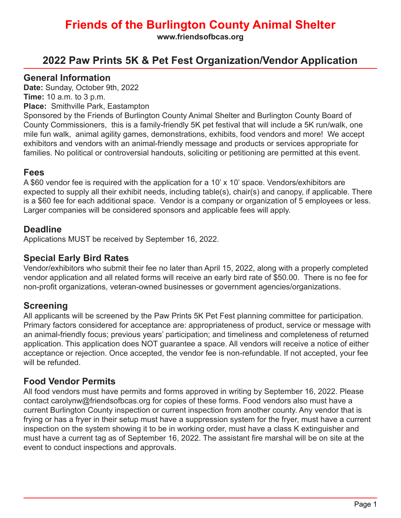**www.friendsofbcas.org**

### **2022 Paw Prints 5K & Pet Fest Organization/Vendor Application**

#### **General Information**

**Date:** Sunday, October 9th, 2022

**Time:** 10 a.m. to 3 p.m.

**Place:** Smithville Park, Eastampton

Sponsored by the Friends of Burlington County Animal Shelter and Burlington County Board of County Commissioners, this is a family-friendly 5K pet festival that will include a 5K run/walk, one mile fun walk, animal agility games, demonstrations, exhibits, food vendors and more! We accept exhibitors and vendors with an animal-friendly message and products or services appropriate for families. No political or controversial handouts, soliciting or petitioning are permitted at this event.

#### **Fees**

A \$60 vendor fee is required with the application for a 10' x 10' space. Vendors/exhibitors are expected to supply all their exhibit needs, including table(s), chair(s) and canopy, if applicable. There is a \$60 fee for each additional space. Vendor is a company or organization of 5 employees or less. Larger companies will be considered sponsors and applicable fees will apply.

### **Deadline**

Applications MUST be received by September 16, 2022.

#### **Special Early Bird Rates**

Vendor/exhibitors who submit their fee no later than April 15, 2022, along with a properly completed vendor application and all related forms will receive an early bird rate of \$50.00. There is no fee for non-profit organizations, veteran-owned businesses or government agencies/organizations.

#### **Screening**

All applicants will be screened by the Paw Prints 5K Pet Fest planning committee for participation. Primary factors considered for acceptance are: appropriateness of product, service or message with an animal-friendly focus; previous years' participation; and timeliness and completeness of returned application. This application does NOT guarantee a space. All vendors will receive a notice of either acceptance or rejection. Once accepted, the vendor fee is non-refundable. If not accepted, your fee will be refunded.

### **Food Vendor Permits**

All food vendors must have permits and forms approved in writing by September 16, 2022. Please contact carolynw@friendsofbcas.org for copies of these forms. Food vendors also must have a current Burlington County inspection or current inspection from another county. Any vendor that is frying or has a fryer in their setup must have a suppression system for the fryer, must have a current inspection on the system showing it to be in working order, must have a class K extinguisher and must have a current tag as of September 16, 2022. The assistant fire marshal will be on site at the event to conduct inspections and approvals.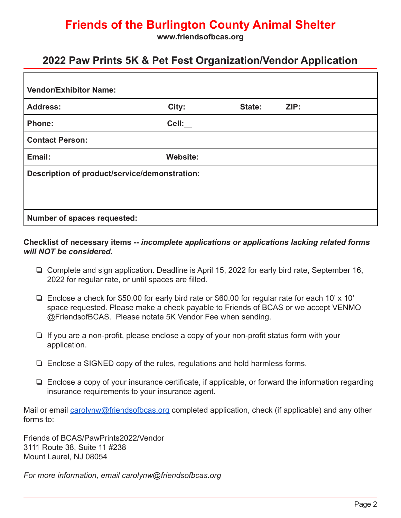**www.friendsofbcas.org**

### **2022 Paw Prints 5K & Pet Fest Organization/Vendor Application**

| <b>Vendor/Exhibitor Name:</b>                 |          |        |      |  |
|-----------------------------------------------|----------|--------|------|--|
| <b>Address:</b>                               | City:    | State: | ZIP: |  |
| Phone:                                        | Cell:    |        |      |  |
| <b>Contact Person:</b>                        |          |        |      |  |
| Email:                                        | Website: |        |      |  |
| Description of product/service/demonstration: |          |        |      |  |
|                                               |          |        |      |  |
|                                               |          |        |      |  |
| Number of spaces requested:                   |          |        |      |  |

#### **Checklist of necessary items --** *incomplete applications or applications lacking related forms will NOT be considered.*

- ❏ Complete and sign application. Deadline is April 15, 2022 for early bird rate, September 16, 2022 for regular rate, or until spaces are filled.
- ❏ Enclose a check for \$50.00 for early bird rate or \$60.00 for regular rate for each 10' x 10' space requested. Please make a check payable to Friends of BCAS or we accept VENMO @FriendsofBCAS. Please notate 5K Vendor Fee when sending.
- ❏ If you are a non-profit, please enclose a copy of your non-profit status form with your application.
- ❏ Enclose a SIGNED copy of the rules, regulations and hold harmless forms.
- ❏ Enclose a copy of your insurance certificate, if applicable, or forward the information regarding insurance requirements to your insurance agent.

Mail or email carolynw@friendsofbcas.org completed application, check (if applicable) and any other forms to:

Friends of BCAS/PawPrints2022/Vendor 3111 Route 38, Suite 11 #238 Mount Laurel, NJ 08054

*For more information, email carolynw@friendsofbcas.org*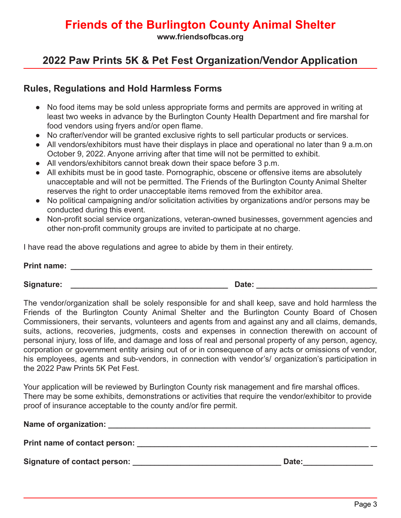**www.friendsofbcas.org**

## **2022 Paw Prints 5K & Pet Fest Organization/Vendor Application**

### **Rules, Regulations and Hold Harmless Forms**

- No food items may be sold unless appropriate forms and permits are approved in writing at least two weeks in advance by the Burlington County Health Department and fire marshal for food vendors using fryers and/or open flame.
- No crafter/vendor will be granted exclusive rights to sell particular products or services.
- All vendors/exhibitors must have their displays in place and operational no later than 9 a.m.on October 9, 2022. Anyone arriving after that time will not be permitted to exhibit.
- All vendors/exhibitors cannot break down their space before 3 p.m.
- All exhibits must be in good taste. Pornographic, obscene or offensive items are absolutely unacceptable and will not be permitted. The Friends of the Burlington County Animal Shelter reserves the right to order unacceptable items removed from the exhibitor area.
- No political campaigning and/or solicitation activities by organizations and/or persons may be conducted during this event.
- Non-profit social service organizations, veteran-owned businesses, government agencies and other non-profit community groups are invited to participate at no charge.

I have read the above regulations and agree to abide by them in their entirety.

| <b>Print name:</b> |       |
|--------------------|-------|
| <b>Signature:</b>  | Date: |

The vendor/organization shall be solely responsible for and shall keep, save and hold harmless the Friends of the Burlington County Animal Shelter and the Burlington County Board of Chosen Commissioners, their servants, volunteers and agents from and against any and all claims, demands, suits, actions, recoveries, judgments, costs and expenses in connection therewith on account of personal injury, loss of life, and damage and loss of real and personal property of any person, agency, corporation or government entity arising out of or in consequence of any acts or omissions of vendor, his employees, agents and sub-vendors, in connection with vendor's/ organization's participation in the 2022 Paw Prints 5K Pet Fest.

Your application will be reviewed by Burlington County risk management and fire marshal offices. There may be some exhibits, demonstrations or activities that require the vendor/exhibitor to provide proof of insurance acceptable to the county and/or fire permit.

| Name of organization:         |       |
|-------------------------------|-------|
| Print name of contact person: |       |
| Signature of contact person:  | Date: |